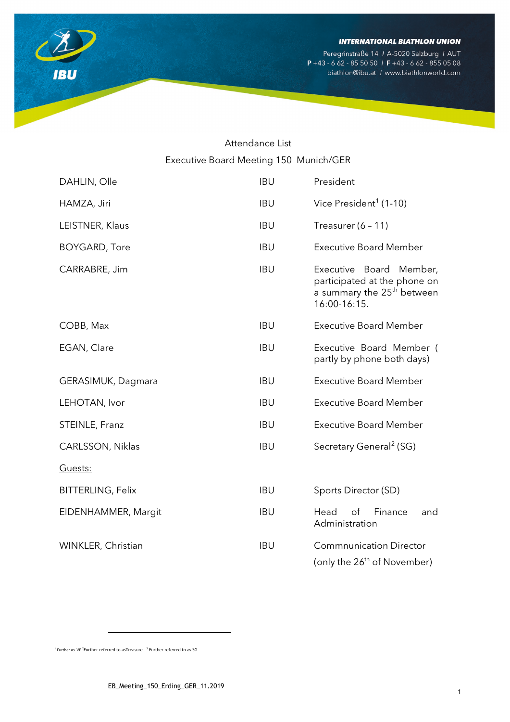

Peregrinstraße 14 / A-5020 Salzburg / AUT<br>P +43 - 6 62 - 85 50 50 / F +43 - 6 62 - 855 05 08 biathlon@ibu.at / www.biathlonworld.com

# Attendance List Executive Board Meeting 150 Munich/GER

| DAHLIN, Olle             | <b>IBU</b> | President                                                                                                            |
|--------------------------|------------|----------------------------------------------------------------------------------------------------------------------|
| HAMZA, Jiri              | <b>IBU</b> | Vice President <sup>1</sup> (1-10)                                                                                   |
| LEISTNER, Klaus          | <b>IBU</b> | Treasurer $(6 - 11)$                                                                                                 |
| <b>BOYGARD, Tore</b>     | <b>IBU</b> | <b>Executive Board Member</b>                                                                                        |
| CARRABRE, Jim            | <b>IBU</b> | Executive Board<br>Member,<br>participated at the phone on<br>a summary the 25 <sup>th</sup> between<br>16:00-16:15. |
| COBB, Max                | <b>IBU</b> | <b>Executive Board Member</b>                                                                                        |
| EGAN, Clare              | <b>IBU</b> | Executive Board Member (<br>partly by phone both days)                                                               |
| GERASIMUK, Dagmara       | <b>IBU</b> | <b>Executive Board Member</b>                                                                                        |
| LEHOTAN, Ivor            | <b>IBU</b> | <b>Executive Board Member</b>                                                                                        |
| STEINLE, Franz           | <b>IBU</b> | <b>Executive Board Member</b>                                                                                        |
| CARLSSON, Niklas         | <b>IBU</b> | Secretary General <sup>2</sup> (SG)                                                                                  |
| Guests:                  |            |                                                                                                                      |
| <b>BITTERLING, Felix</b> | <b>IBU</b> | Sports Director (SD)                                                                                                 |
| EIDENHAMMER, Margit      | <b>IBU</b> | of<br>Finance<br>Head<br>and<br>Administration                                                                       |
| WINKLER, Christian       | <b>IBU</b> | <b>Commnunication Director</b><br>(only the 26 <sup>th</sup> of November)                                            |

<span id="page-0-1"></span><span id="page-0-0"></span> $^1$  Further as VP <sup>2</sup> Further referred to as Treasure  $^{-3}$  Further referred to as SG

 $\overline{a}$ 

**IBU**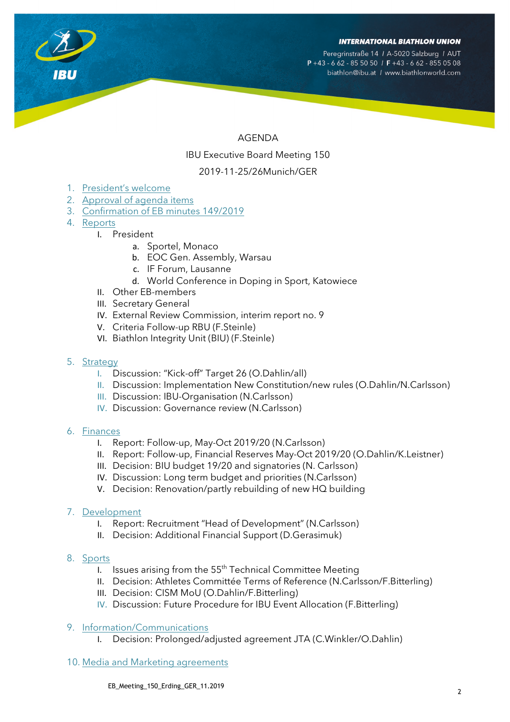Peregrinstraße 14 / A-5020 Salzburg / AUT  $P + 43 - 662 - 855050$  / F + 43 - 662 - 855 05 08 biathlon@ibu.at / www.biathlonworld.com

# AGENDA IBU Executive Board Meeting 150 2019-11-25/26Munich/GER

- 1. President's welcome
- 2. Approval of agenda items
- 3. Confirmation of EB minutes 149/2019
- 4. Reports
	- I. President
		- a. Sportel, Monaco
		- b. EOC Gen. Assembly, Warsau
		- c. IF Forum, Lausanne
		- d. World Conference in Doping in Sport, Katowiece
	- II. Other EB-members
	- III. Secretary General
	- IV. External Review Commission, interim report no. 9
	- V. Criteria Follow-up RBU (F.Steinle)
	- VI. Biathlon Integrity Unit (BIU) (F.Steinle)
- 5. Strategy
	- I. Discussion: "Kick-off" Target 26 (O.Dahlin/all)
	- II. Discussion: Implementation New Constitution/new rules (O.Dahlin/N.Carlsson)
	- III. Discussion: IBU-Organisation (N.Carlsson)
	- IV. Discussion: Governance review (N.Carlsson)

#### 6. Finances

- I. Report: Follow-up, May-Oct 2019/20 (N.Carlsson)
- II. Report: Follow-up, Financial Reserves May-Oct 2019/20 (O.Dahlin/K.Leistner)
- III. Decision: BIU budget 19/20 and signatories (N. Carlsson)
- IV. Discussion: Long term budget and priorities (N.Carlsson)
- V. Decision: Renovation/partly rebuilding of new HQ building

#### 7. Development

- I. Report: Recruitment "Head of Development" (N.Carlsson)
- II. Decision: Additional Financial Support (D.Gerasimuk)
- 8. Sports
	- I. Issues arising from the  $55<sup>th</sup>$  Technical Committee Meeting
	- II. Decision: Athletes Committée Terms of Reference (N.Carlsson/F.Bitterling)
	- III. Decision: CISM MoU (O.Dahlin/F.Bitterling)
	- IV. Discussion: Future Procedure for IBU Event Allocation (F.Bitterling)

#### 9. Information/Communications

- I. Decision: Prolonged/adjusted agreement JTA (C.Winkler/O.Dahlin)
- 10. Media and Marketing agreements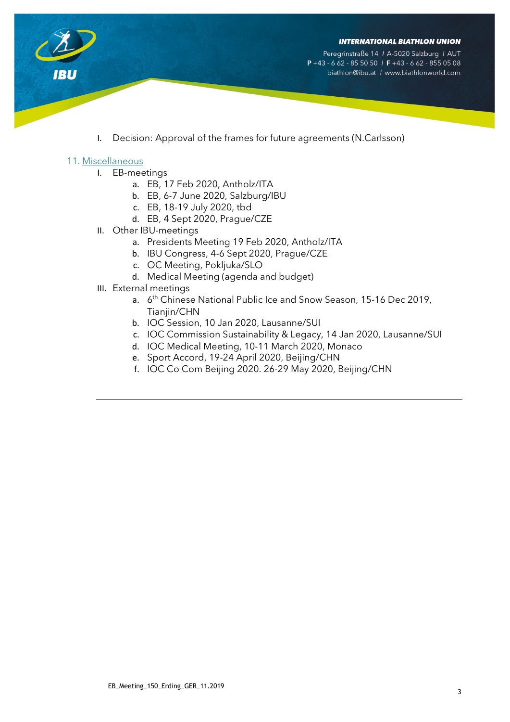

Peregrinstraße 14 / A-5020 Salzburg / AUT  $P + 43 - 662 - 855050$  / F + 43 - 662 - 855 05 08 biathlon@ibu.at / www.biathlonworld.com

I. Decision: Approval of the frames for future agreements (N.Carlsson)

#### 11. Miscellaneous

**IBU** 

- I. EB-meetings
	- a. EB, 17 Feb 2020, Antholz/ITA
	- b. EB, 6-7 June 2020, Salzburg/IBU
	- c. EB, 18-19 July 2020, tbd
	- d. EB, 4 Sept 2020, Prague/CZE
- II. Other IBU-meetings
	- a. Presidents Meeting 19 Feb 2020, Antholz/ITA
	- b. IBU Congress, 4-6 Sept 2020, Prague/CZE
	- c. OC Meeting, Pokljuka/SLO
	- d. Medical Meeting (agenda and budget)
- III. External meetings
	- a. 6<sup>th</sup> Chinese National Public Ice and Snow Season, 15-16 Dec 2019, Tianjin/CHN
	- b. IOC Session, 10 Jan 2020, Lausanne/SUI
	- c. IOC Commission Sustainability & Legacy, 14 Jan 2020, Lausanne/SUI
	- d. IOC Medical Meeting, 10-11 March 2020, Monaco
	- e. Sport Accord, 19-24 April 2020, Beijing/CHN
	- f. IOC Co Com Beijing 2020. 26-29 May 2020, Beijing/CHN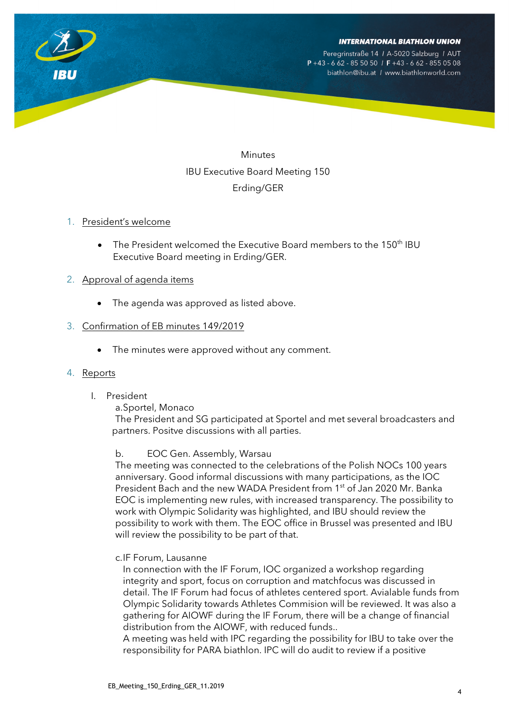Peregrinstraße 14 / A-5020 Salzburg / AUT  $P + 43 - 662 - 855050$  / F + 43 - 662 - 855 05 08 biathlon@ibu.at / www.biathlonworld.com

**Minutes** IBU Executive Board Meeting 150 Erding/GER

## 1. President's welcome

The President welcomed the Executive Board members to the 150<sup>th</sup> IBU Executive Board meeting in Erding/GER.

# 2. Approval of agenda items

• The agenda was approved as listed above.

# 3. Confirmation of EB minutes 149/2019

The minutes were approved without any comment.

# 4. Reports

I. President

#### a.Sportel, Monaco

The President and SG participated at Sportel and met several broadcasters and partners. Positve discussions with all parties.

# b. EOC Gen. Assembly, Warsau

The meeting was connected to the celebrations of the Polish NOCs 100 years anniversary. Good informal discussions with many participations, as the IOC President Bach and the new WADA President from 1<sup>st</sup> of Jan 2020 Mr. Banka EOC is implementing new rules, with increased transparency. The possibility to work with Olympic Solidarity was highlighted, and IBU should review the possibility to work with them. The EOC office in Brussel was presented and IBU will review the possibility to be part of that.

# c.IF Forum, Lausanne

In connection with the IF Forum, IOC organized a workshop regarding integrity and sport, focus on corruption and matchfocus was discussed in detail. The IF Forum had focus of athletes centered sport. Avialable funds from Olympic Solidarity towards Athletes Commision will be reviewed. It was also a gathering for AIOWF during the IF Forum, there will be a change of financial distribution from the AIOWF, with reduced funds..

A meeting was held with IPC regarding the possibility for IBU to take over the responsibility for PARA biathlon. IPC will do audit to review if a positive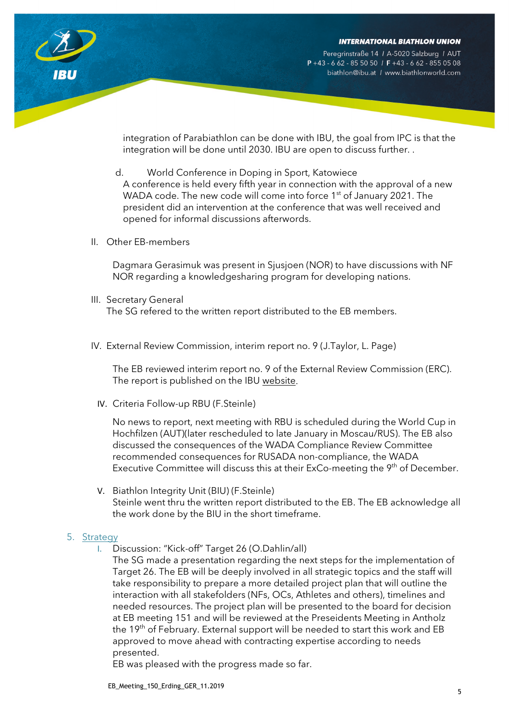Peregrinstraße 14 / A-5020 Salzburg / AUT  $P + 43 - 662 - 855050$  / F + 43 - 662 - 855 05 08 biathlon@ibu.at / www.biathlonworld.com



integration of Parabiathlon can be done with IBU, the goal from IPC is that the integration will be done until 2030. IBU are open to discuss further. .

- d. World Conference in Doping in Sport, Katowiece A conference is held every fifth year in connection with the approval of a new WADA code. The new code will come into force 1<sup>st</sup> of January 2021. The president did an intervention at the conference that was well received and opened for informal discussions afterwords.
- II. Other EB-members

Dagmara Gerasimuk was present in Sjusjoen (NOR) to have discussions with NF NOR regarding a knowledgesharing program for developing nations.

III. Secretary General

The SG refered to the written report distributed to the EB members.

IV. External Review Commission, interim report no. 9 (J.Taylor, L. Page)

The EB reviewed interim report no. 9 of the External Review Commission (ERC). The report is published on the IBU [website.](https://www.biathlonworld.com/about-ibu/inside-ibu/committees)

IV. Criteria Follow-up RBU (F.Steinle)

No news to report, next meeting with RBU is scheduled during the World Cup in Hochfilzen (AUT)(later rescheduled to late January in Moscau/RUS). The EB also discussed the consequences of the WADA Compliance Review Committee recommended consequences for RUSADA non-compliance, the WADA Executive Committee will discuss this at their ExCo-meeting the 9<sup>th</sup> of December.

V. Biathlon Integrity Unit (BIU) (F.Steinle) Steinle went thru the written report distributed to the EB. The EB acknowledge all the work done by the BIU in the short timeframe.

# 5. Strategy

I. Discussion: "Kick-off" Target 26 (O.Dahlin/all)

The SG made a presentation regarding the next steps for the implementation of Target 26. The EB will be deeply involved in all strategic topics and the staff will take responsibility to prepare a more detailed project plan that will outline the interaction with all stakefolders (NFs, OCs, Athletes and others), timelines and needed resources. The project plan will be presented to the board for decision at EB meeting 151 and will be reviewed at the Preseidents Meeting in Antholz the 19<sup>th</sup> of February. External support will be needed to start this work and EB approved to move ahead with contracting expertise according to needs presented.

EB was pleased with the progress made so far.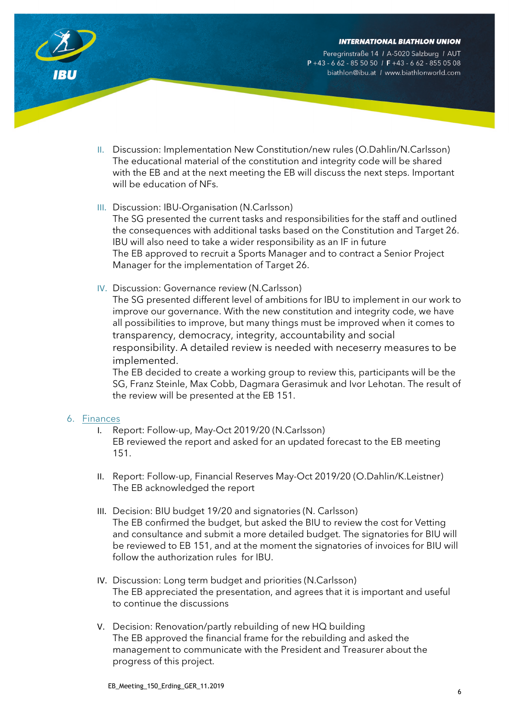

Peregrinstraße 14 / A-5020 Salzburg / AUT  $P + 43 - 662 - 855050$  / F + 43 - 662 - 855 05 08 biathlon@ibu.at / www.biathlonworld.com



- II. Discussion: Implementation New Constitution/new rules (O.Dahlin/N.Carlsson) The educational material of the constitution and integrity code will be shared with the EB and at the next meeting the EB will discuss the next steps. Important will be education of NFs.
- III. Discussion: IBU-Organisation (N.Carlsson)

The SG presented the current tasks and responsibilities for the staff and outlined the consequences with additional tasks based on the Constitution and Target 26. IBU will also need to take a wider responsibility as an IF in future The EB approved to recruit a Sports Manager and to contract a Senior Project Manager for the implementation of Target 26.

IV. Discussion: Governance review (N.Carlsson)

The SG presented different level of ambitions for IBU to implement in our work to improve our governance. With the new constitution and integrity code, we have all possibilities to improve, but many things must be improved when it comes to transparency, democracy, integrity, accountability and social responsibility. A detailed review is needed with neceserry measures to be implemented.

The EB decided to create a working group to review this, participants will be the SG, Franz Steinle, Max Cobb, Dagmara Gerasimuk and Ivor Lehotan. The result of the review will be presented at the EB 151.

# 6. Finances

- I. Report: Follow-up, May-Oct 2019/20 (N.Carlsson) EB reviewed the report and asked for an updated forecast to the EB meeting 151.
- II. Report: Follow-up, Financial Reserves May-Oct 2019/20 (O.Dahlin/K.Leistner) The EB acknowledged the report
- III. Decision: BIU budget 19/20 and signatories (N. Carlsson) The EB confirmed the budget, but asked the BIU to review the cost for Vetting and consultance and submit a more detailed budget. The signatories for BIU will be reviewed to EB 151, and at the moment the signatories of invoices for BIU will follow the authorization rules for IBU.
- IV. Discussion: Long term budget and priorities (N.Carlsson) The EB appreciated the presentation, and agrees that it is important and useful to continue the discussions
- V. Decision: Renovation/partly rebuilding of new HQ building The EB approved the financial frame for the rebuilding and asked the management to communicate with the President and Treasurer about the progress of this project.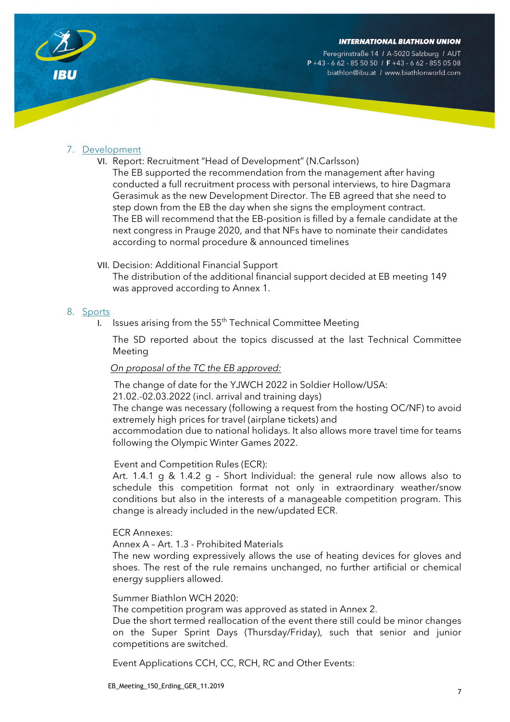Peregrinstraße 14 / A-5020 Salzburg / AUT  $P + 43 - 662 - 855050$  /  $F + 43 - 662 - 8550508$ biathlon@ibu.at / www.biathlonworld.com



# 7. Development

VI. Report: Recruitment "Head of Development" (N.Carlsson)

The EB supported the recommendation from the management after having conducted a full recruitment process with personal interviews, to hire Dagmara Gerasimuk as the new Development Director. The EB agreed that she need to step down from the EB the day when she signs the employment contract. The EB will recommend that the EB-position is filled by a female candidate at the next congress in Prauge 2020, and that NFs have to nominate their candidates according to normal procedure & announced timelines

## VII. Decision: Additional Financial Support

The distribution of the additional financial support decided at EB meeting 149 was approved according to Annex 1.

## 8. Sports

I. Issues arising from the  $55<sup>th</sup>$  Technical Committee Meeting

The SD reported about the topics discussed at the last Technical Committee Meeting

# *On proposal of the TC the EB approved:*

The change of date for the YJWCH 2022 in Soldier Hollow/USA: 21.02.-02.03.2022 (incl. arrival and training days) The change was necessary (following a request from the hosting OC/NF) to avoid extremely high prices for travel (airplane tickets) and

accommodation due to national holidays. It also allows more travel time for teams following the Olympic Winter Games 2022.

#### Event and Competition Rules (ECR):

Art. 1.4.1 g & 1.4.2 g – Short Individual: the general rule now allows also to schedule this competition format not only in extraordinary weather/snow conditions but also in the interests of a manageable competition program. This change is already included in the new/updated ECR.

#### ECR Annexes:

Annex A – Art. 1.3 - Prohibited Materials

The new wording expressively allows the use of heating devices for gloves and shoes. The rest of the rule remains unchanged, no further artificial or chemical energy suppliers allowed.

#### Summer Biathlon WCH 2020:

The competition program was approved as stated in Annex 2.

Due the short termed reallocation of the event there still could be minor changes on the Super Sprint Days (Thursday/Friday), such that senior and junior competitions are switched.

Event Applications CCH, CC, RCH, RC and Other Events: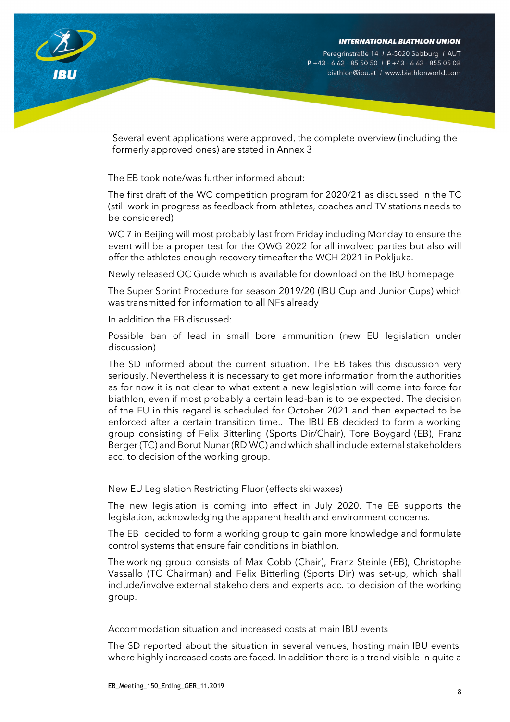Peregrinstraße 14 / A-5020 Salzburg / AUT  $P + 43 - 662 - 855050$  / F + 43 - 662 - 855 05 08 biathlon@ibu.at / www.biathlonworld.com



Several event applications were approved, the complete overview (including the formerly approved ones) are stated in Annex 3

The EB took note/was further informed about:

The first draft of the WC competition program for 2020/21 as discussed in the TC (still work in progress as feedback from athletes, coaches and TV stations needs to be considered)

WC 7 in Beijing will most probably last from Friday including Monday to ensure the event will be a proper test for the OWG 2022 for all involved parties but also will offer the athletes enough recovery timeafter the WCH 2021 in Pokljuka.

Newly released OC Guide which is available for download on the IBU homepage

The Super Sprint Procedure for season 2019/20 (IBU Cup and Junior Cups) which was transmitted for information to all NFs already

In addition the EB discussed:

Possible ban of lead in small bore ammunition (new EU legislation under discussion)

The SD informed about the current situation. The EB takes this discussion very seriously. Nevertheless it is necessary to get more information from the authorities as for now it is not clear to what extent a new legislation will come into force for biathlon, even if most probably a certain lead-ban is to be expected. The decision of the EU in this regard is scheduled for October 2021 and then expected to be enforced after a certain transition time.. The IBU EB decided to form a working group consisting of Felix Bitterling (Sports Dir/Chair), Tore Boygard (EB), Franz Berger (TC) and Borut Nunar (RD WC) and which shall include external stakeholders acc. to decision of the working group.

New EU Legislation Restricting Fluor (effects ski waxes)

The new legislation is coming into effect in July 2020. The EB supports the legislation, acknowledging the apparent health and environment concerns.

The EB decided to form a working group to gain more knowledge and formulate control systems that ensure fair conditions in biathlon.

The working group consists of Max Cobb (Chair), Franz Steinle (EB), Christophe Vassallo (TC Chairman) and Felix Bitterling (Sports Dir) was set-up, which shall include/involve external stakeholders and experts acc. to decision of the working group.

Accommodation situation and increased costs at main IBU events

The SD reported about the situation in several venues, hosting main IBU events, where highly increased costs are faced. In addition there is a trend visible in quite a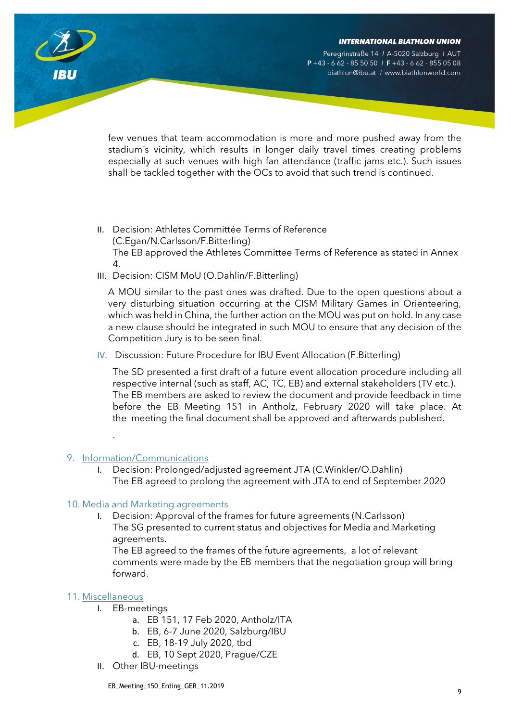Peregrinstraße 14 / A-5020 Salzburg / AUT  $P + 43 - 662 - 855050$  /  $F + 43 - 662 - 8550508$ biathlon@ibu.at / www.biathlonworld.com

few venues that team accommodation is more and more pushed away from the stadium´s vicinity, which results in longer daily travel times creating problems especially at such venues with high fan attendance (traffic jams etc.). Such issues shall be tackled together with the OCs to avoid that such trend is continued.

- II. Decision: Athletes Committée Terms of Reference (C.Egan/N.Carlsson/F.Bitterling) The EB approved the Athletes Committee Terms of Reference as stated in Annex 4.
- III. Decision: CISM MoU (O.Dahlin/F.Bitterling)

A MOU similar to the past ones was drafted. Due to the open questions about a very disturbing situation occurring at the CISM Military Games in Orienteering, which was held in China, the further action on the MOU was put on hold. In any case a new clause should be integrated in such MOU to ensure that any decision of the Competition Jury is to be seen final.

IV. Discussion: Future Procedure for IBU Event Allocation (F.Bitterling)

The SD presented a first draft of a future event allocation procedure including all respective internal (such as staff, AC, TC, EB) and external stakeholders (TV etc.). The EB members are asked to review the document and provide feedback in time before the EB Meeting 151 in Antholz, February 2020 will take place. At the meeting the final document shall be approved and afterwards published.

#### 9. Information/Communications

.

Decision: Prolonged/adjusted agreement JTA (C.Winkler/O.Dahlin) The EB agreed to prolong the agreement with JTA to end of September 2020

#### 10. Media and Marketing agreements

I. Decision: Approval of the frames for future agreements (N.Carlsson) The SG presented to current status and objectives for Media and Marketing agreements.

The EB agreed to the frames of the future agreements, a lot of relevant comments were made by the EB members that the negotiation group will bring forward.

#### 11. Miscellaneous

- I. EB-meetings
	- a. EB 151, 17 Feb 2020, Antholz/ITA
	- b. EB, 6-7 June 2020, Salzburg/IBU
	- c. EB, 18-19 July 2020, tbd
	- d. EB, 10 Sept 2020, Prague/CZE
- II. Other IBU-meetings